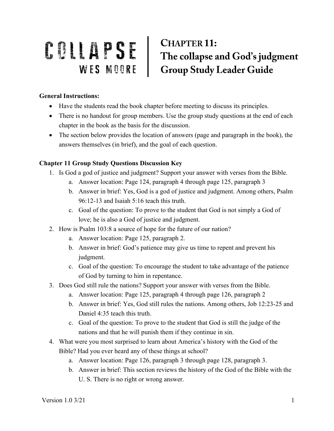## COLLAPSE CHAPTER 11:<br>WES MOORE Group Study Leader Guide **CHAPTER 11:**

## **General Instructions:**

- Have the students read the book chapter before meeting to discuss its principles.
- There is no handout for group members. Use the group study questions at the end of each chapter in the book as the basis for the discussion.
- The section below provides the location of answers (page and paragraph in the book), the answers themselves (in brief), and the goal of each question.

## **Chapter 11 Group Study Questions Discussion Key**

- 1. Is God a god of justice and judgment? Support your answer with verses from the Bible.
	- a. Answer location: Page 124, paragraph 4 through page 125, paragraph 3
	- b. Answer in brief: Yes, God is a god of justice and judgment. Among others, Psalm 96:12-13 and Isaiah 5:16 teach this truth.
	- c. Goal of the question: To prove to the student that God is not simply a God of love; he is also a God of justice and judgment.
- 2. How is Psalm 103:8 a source of hope for the future of our nation?
	- a. Answer location: Page 125, paragraph 2.
	- b. Answer in brief: God's patience may give us time to repent and prevent his judgment.
	- c. Goal of the question: To encourage the student to take advantage of the patience of God by turning to him in repentance.
- 3. Does God still rule the nations? Support your answer with verses from the Bible.
	- a. Answer location: Page 125, paragraph 4 through page 126, paragraph 2
	- b. Answer in brief: Yes, God still rules the nations. Among others, Job 12:23-25 and Daniel 4:35 teach this truth.
	- c. Goal of the question: To prove to the student that God is still the judge of the nations and that he will punish them if they continue in sin.
- 4. What were you most surprised to learn about America's history with the God of the Bible? Had you ever heard any of these things at school?
	- a. Answer location: Page 126, paragraph 3 through page 128, paragraph 3.
	- b. Answer in brief: This section reviews the history of the God of the Bible with the U. S. There is no right or wrong answer.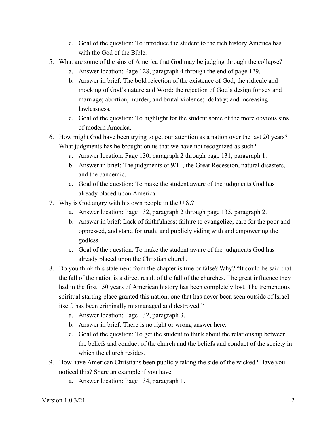- c. Goal of the question: To introduce the student to the rich history America has with the God of the Bible.
- 5. What are some of the sins of America that God may be judging through the collapse?
	- a. Answer location: Page 128, paragraph 4 through the end of page 129.
	- b. Answer in brief: The bold rejection of the existence of God; the ridicule and mocking of God's nature and Word; the rejection of God's design for sex and marriage; abortion, murder, and brutal violence; idolatry; and increasing lawlessness.
	- c. Goal of the question: To highlight for the student some of the more obvious sins of modern America.
- 6. How might God have been trying to get our attention as a nation over the last 20 years? What judgments has he brought on us that we have not recognized as such?
	- a. Answer location: Page 130, paragraph 2 through page 131, paragraph 1.
	- b. Answer in brief: The judgments of 9/11, the Great Recession, natural disasters, and the pandemic.
	- c. Goal of the question: To make the student aware of the judgments God has already placed upon America.
- 7. Why is God angry with his own people in the U.S.?
	- a. Answer location: Page 132, paragraph 2 through page 135, paragraph 2.
	- b. Answer in brief: Lack of faithfulness; failure to evangelize, care for the poor and oppressed, and stand for truth; and publicly siding with and empowering the godless.
	- c. Goal of the question: To make the student aware of the judgments God has already placed upon the Christian church.
- 8. Do you think this statement from the chapter is true or false? Why? "It could be said that the fall of the nation is a direct result of the fall of the churches. The great influence they had in the first 150 years of American history has been completely lost. The tremendous spiritual starting place granted this nation, one that has never been seen outside of Israel itself, has been criminally mismanaged and destroyed."
	- a. Answer location: Page 132, paragraph 3.
	- b. Answer in brief: There is no right or wrong answer here.
	- c. Goal of the question: To get the student to think about the relationship between the beliefs and conduct of the church and the beliefs and conduct of the society in which the church resides.
- 9. How have American Christians been publicly taking the side of the wicked? Have you noticed this? Share an example if you have.
	- a. Answer location: Page 134, paragraph 1.